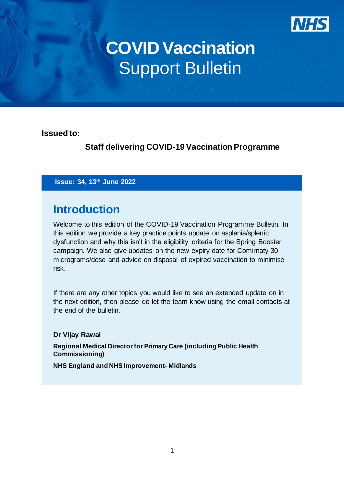

# **COVID Vaccination Support Bulletin**

**Issued to:** 

**Staff delivering COVID-19Vaccination Programme**

**Issue: 34, 13th June 2022**

### **Introduction**

Welcome to this edition of the COVID-19 Vaccination Programme Bulletin. In this edition we provide a key practice points update on asplenia/splenic dysfunction and why this isn't in the eligibility criteria for the Spring Booster campaign. We also give updates on the new expiry date for Comirnaty 30 micrograms/dose and advice on disposal of expired vaccination to minimise risk.

If there are any other topics you would like to see an extended update on in the next edition, then please do let the team know using the email contacts at the end of the bulletin.

#### **Dr Vijay Rawal**

**Regional Medical Director for Primary Care (including Public Health Commissioning)**

**NHS England and NHS Improvement- Midlands**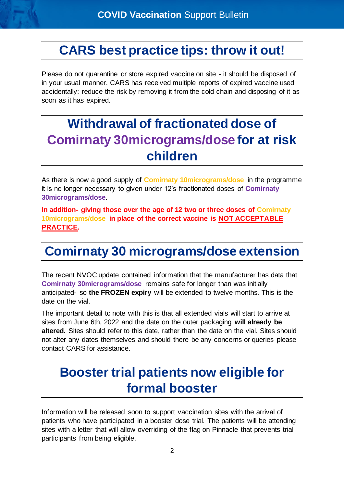### **CARS best practice tips: throw it out!**

Please do not quarantine or store expired vaccine on site - it should be disposed of in your usual manner. CARS has received multiple reports of expired vaccine used accidentally: reduce the risk by removing it from the cold chain and disposing of it as soon as it has expired.

### **Withdrawal of fractionated dose of Comirnaty 30micrograms/dose for at risk children**

As there is now a good supply of **Comirnaty 10micrograms/dose** in the programme it is no longer necessary to given under 12's fractionated doses of **Comirnaty 30micrograms/dose**.

**In addition- giving those over the age of 12 two or three doses of Comirnaty 10micrograms/dose in place of the correct vaccine is NOT ACCEPTABLE PRACTICE.**

## **Comirnaty 30 micrograms/dose extension**

The recent NVOC update contained information that the manufacturer has data that **Comirnaty 30micrograms/dose** remains safe for longer than was initially anticipated- so **the FROZEN expiry** will be extended to twelve months. This is the date on the vial.

The important detail to note with this is that all extended vials will start to arrive at sites from June 6th, 2022 and the date on the outer packaging **will already be altered.** Sites should refer to this date, rather than the date on the vial. Sites should not alter any dates themselves and should there be any concerns or queries please contact CARS for assistance.

### **Booster trial patients now eligible for formal booster**

Information will be released soon to support vaccination sites with the arrival of patients who have participated in a booster dose trial. The patients will be attending sites with a letter that will allow overriding of the flag on Pinnacle that prevents trial participants from being eligible.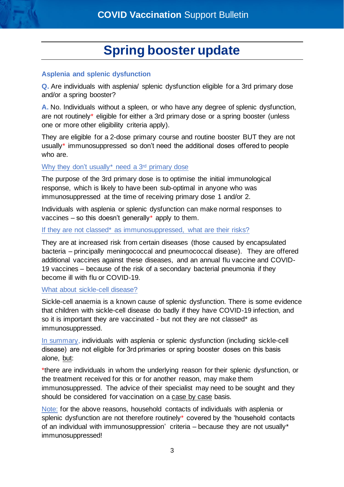### **Spring booster update**

#### **Asplenia and splenic dysfunction**

**Q.** Are individuals with asplenia/ splenic dysfunction eligible for a 3rd primary dose and/or a spring booster?

**A.** No. Individuals without a spleen, or who have any degree of splenic dysfunction, are not routinely\* eligible for either a 3rd primary dose or a spring booster (unless one or more other eligibility criteria apply).

They are eligible for a 2-dose primary course and routine booster BUT they are not usually\* immunosuppressed so don't need the additional doses offered to people who are.

#### Why they don't usually\* need a 3<sup>rd</sup> primary dose

The purpose of the 3rd primary dose is to optimise the initial immunological response, which is likely to have been sub-optimal in anyone who was immunosuppressed at the time of receiving primary dose 1 and/or 2.

Individuals with asplenia or splenic dysfunction can make normal responses to vaccines – so this doesn't generally\* apply to them.

#### If they are not classed\* as immunosuppressed, what are their risks?

They are at increased risk from certain diseases (those caused by encapsulated bacteria – principally meningococcal and pneumococcal disease). They are offered additional vaccines against these diseases, and an annual flu vaccine and COVID-19 vaccines – because of the risk of a secondary bacterial pneumonia if they become ill with flu or COVID-19.

#### What about sickle-cell disease?

Sickle-cell anaemia is a known cause of splenic dysfunction. There is some evidence that children with sickle-cell disease do badly if they have COVID-19 infection, and so it is important they are vaccinated - but not they are not classed\* as immunosuppressed.

In summary, individuals with asplenia or splenic dysfunction (including sickle-cell disease) are not eligible for 3rd primaries or spring booster doses on this basis alone, but:

\*there are individuals in whom the underlying reason for their splenic dysfunction, or the treatment received for this or for another reason, may make them immunosuppressed. The advice of their specialist may need to be sought and they should be considered for vaccination on a case by case basis.

Note: for the above reasons, household contacts of individuals with asplenia or splenic dysfunction are not therefore routinely\* covered by the 'household contacts of an individual with immunosuppression' criteria – because they are not usually\* immunosuppressed!